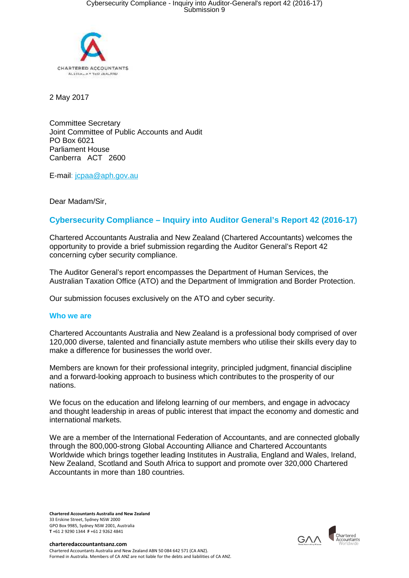

2 May 2017

Committee Secretary Joint Committee of Public Accounts and Audit PO Box 6021 Parliament House Canberra ACT 2600

E-mail: jcpaa@aph.gov.au

Dear Madam/Sir,

# **Cybersecurity Compliance – Inquiry into Auditor General's Report 42 (2016-17)**

Chartered Accountants Australia and New Zealand (Chartered Accountants) welcomes the opportunity to provide a brief submission regarding the Auditor General's Report 42 concerning cyber security compliance.

The Auditor General's report encompasses the Department of Human Services, the Australian Taxation Office (ATO) and the Department of Immigration and Border Protection.

Our submission focuses exclusively on the ATO and cyber security.

#### **Who we are**

Chartered Accountants Australia and New Zealand is a professional body comprised of over 120,000 diverse, talented and financially astute members who utilise their skills every day to make a difference for businesses the world over

Members are known for their professional integrity, principled judgment, financial discipline and a forward-looking approach to business which contributes to the prosperity of our nations.

We focus on the education and lifelong learning of our members, and engage in advocacy and thought leadership in areas of public interest that impact the economy and domestic and international markets.

We are a member of the International Federation of Accountants, and are connected globally through the 800,000-strong Global Accounting Alliance and Chartered Accountants Worldwide which brings together leading Institutes in Australia, England and Wales, Ireland, New Zealand, Scotland and South Africa to support and promote over 320,000 Chartered Accountants in more than 180 countries.

**Chartered Accountants Australia and New Zealand** 33 Erskine Street, Sydney NSW 2000 GPO Box 9985, Sydney NSW 2001, Australia **T** +61 2 9290 1344 **F** +61 2 9262 4841

**charteredaccountantsanz.com**

Chartered Accountants Australia and New Zealand ABN 50 084 642 571 (CA ANZ). Formed in Australia. Members of CA ANZ are not liable for the debts and liabilities of CA ANZ.

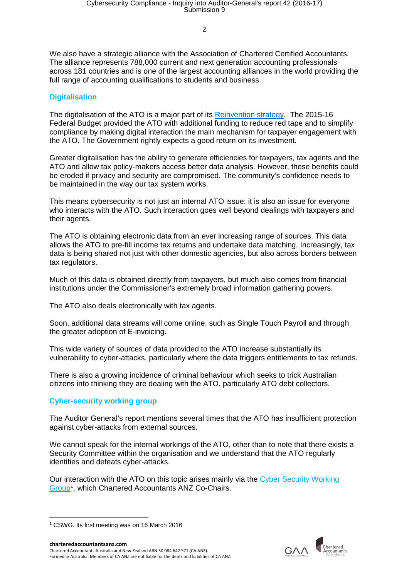We also have a strategic alliance with the Association of Chartered Certified Accountants. The alliance represents 788,000 current and next generation accounting professionals across 181 countries and is one of the largest accounting alliances in the world providing the full range of accounting qualifications to students and business.

### **Digitalisation**

The digitalisation of the ATO is a major part of its Reinvention strategy. The 2015-16 Federal Budget provided the ATO with additional funding to reduce red tape and to simplify compliance by making digital interaction the main mechanism for taxpayer engagement with the ATO. The Government rightly expects a good return on its investment.

Greater digitalisation has the ability to generate efficiencies for taxpayers, tax agents and the ATO and allow tax policy-makers access better data analysis. However, these benefits could be eroded if privacy and security are compromised. The community's confidence needs to be maintained in the way our tax system works.

This means cybersecurity is not just an internal ATO issue: it is also an issue for everyone who interacts with the ATO. Such interaction goes well beyond dealings with taxpayers and their agents.

The ATO is obtaining electronic data from an ever increasing range of sources. This data allows the ATO to pre-fill income tax returns and undertake data matching. Increasingly, tax data is being shared not just with other domestic agencies, but also across borders between tax regulators.

Much of this data is obtained directly from taxpayers, but much also comes from financial institutions under the Commissioner's extremely broad information gathering powers.

The ATO also deals electronically with tax agents.

Soon, additional data streams will come online, such as Single Touch Payroll and through the greater adoption of E-invoicing.

This wide variety of sources of data provided to the ATO increase substantially its vulnerability to cyber-attacks, particularly where the data triggers entitlements to tax refunds.

There is also a growing incidence of criminal behaviour which seeks to trick Australian citizens into thinking they are dealing with the ATO, particularly ATO debt collectors.

#### **Cyber-security working group**

The Auditor General's report mentions several times that the ATO has insufficient protection against cyber-attacks from external sources.

We cannot speak for the internal workings of the ATO, other than to note that there exists a Security Committee within the organisation and we understand that the ATO regularly identifies and defeats cyber-attacks.

Our interaction with the ATO on this topic arises mainly via the Cyber Security Working Group<sup>1</sup>, which Chartered Accountants ANZ Co-Chairs.



<sup>1</sup> CSWG. Its first meeting was on 16 March 2016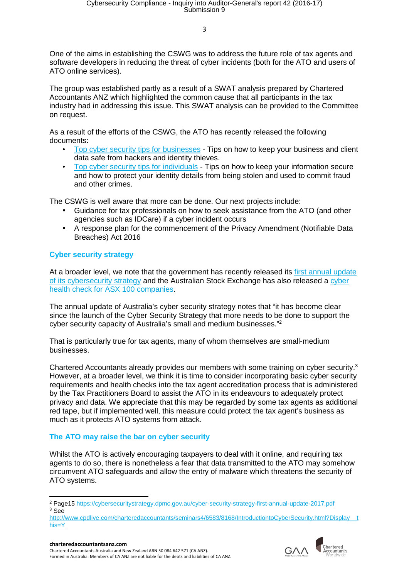One of the aims in establishing the CSWG wasto address the future role of tax agents and software developers in reducing the threat of cyber incidents (both for the ATO and users of ATO online services).

The group was established partly as a result of a SWAT analysis prepared by Chartered Accountants ANZ which highlighted the common cause that all participants in the tax industry had in addressing this issue. This SWAT analysis can be provided to the Committee on request.

As a result of the efforts of the CSWG, the ATO has recently released the following documents:

- Top cyber security tips for businesses Tips on how to keep your business and client data safe from hackers and identity thieves.
- Top cyber security tips for individuals Tips on how to keep your information secure and how to protect your identity details from being stolen and used to commit fraud and other crimes.

The CSWG is well aware that more can be done. Our next projects include:

- Guidance for tax professionals on how to seek assistance from the ATO (and other agencies such as IDCare) if a cyber incident occurs
- A response plan for the commencement of the Privacy Amendment (Notifiable Data Breaches) Act 2016

## **Cyber security strategy**

At a broader level, we note that the government has recently released its first annual update of its cybersecurity strategy and the Australian Stock Exchange has also released a cyber health check for ASX 100 companies.

The annual update of Australia's cyber security strategy notes that "it has become clear since the launch of the Cyber Security Strategy that more needs to be done to support the cyber security capacity of Australia's small and medium businesses."<sup>2</sup>

That is particularly true for tax agents, many of whom themselves are small-medium businesses.

Chartered Accountants already provides our members with some training on cyber security.<sup>3</sup> However, at a broader level, we think it is time to consider incorporating basic cyber security requirements and health checks into the tax agent accreditation process that is administered by the Tax Practitioners Board to assist the ATO in its endeavours to adequately protect privacy and data. We appreciate that this may be regarded by some tax agents as additional red tape, but if implemented well, this measure could protect the tax agent's business as much as it protects ATO systems from attack.

#### **The ATO may raise the bar on cyber security**

Whilst the ATO is actively encouraging taxpayers to deal with it online, and requiring tax agents to do so, there is nonetheless a fear that data transmitted to the ATO may somehow circumvent ATO safeguards and allow the entry of malware which threatens the security of ATO systems.





<sup>2</sup> Page15 https://cybersecuritystrategy.dpmc.gov.au/cyber-security-strategy-first-annual-update-2017.pdf <sup>3</sup> See

http://www.cpdlive.com/charteredaccountants/seminars4/6583/8168/IntroductiontoCyberSecurity.html?Display\_\_t his=Y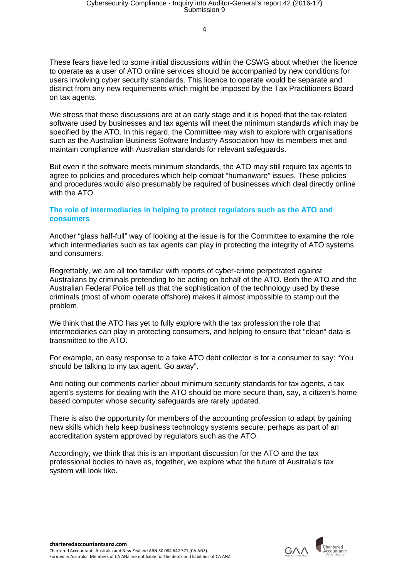These fears have led to some initial discussions within the CSWG about whether the licence to operate as a user of ATO online services should be accompanied by new conditions for users involving cyber security standards. This licence to operate would be separate and distinct from any new requirements which might be imposed by the Tax Practitioners Board on tax agents.

We stress that these discussions are at an early stage and it is hoped that the tax-related software used by businesses and tax agents will meet the minimum standards which may be specified by the ATO. In this regard, the Committee may wish to explore with organisations such as the Australian Business Software Industry Association how its members met and maintain compliance with Australian standards for relevant safeguards.

But even if the software meets minimum standards, the ATO may still require tax agents to agree to policies and procedures which help combat "humanware" issues. These policies and procedures would also presumably be required of businesses which deal directly online with the ATO.

#### **The role of intermediaries in helping to protect regulators such as the ATO and consumers**

Another "glass half-full" way of looking at the issue is for the Committee to examine the role which intermediaries such as tax agents can play in protecting the integrity of ATO systems and consumers.

Regrettably, we are all too familiar with reports of cyber-crime perpetrated against Australians by criminals pretending to be acting on behalf of the ATO. Both the ATO and the Australian Federal Police tell us that the sophistication of the technology used by these criminals (most of whom operate offshore) makes it almost impossible to stamp out the problem.

We think that the ATO has yet to fully explore with the tax profession the role that intermediaries can play in protecting consumers, and helping to ensure that "clean" data is transmitted to the ATO.

For example, an easy response to a fake ATO debt collector is for a consumer to say: "You should be talking to my tax agent. Go away".

And noting our comments earlier about minimum security standards for tax agents, a tax agent's systems for dealing with the ATO should be more secure than, say, a citizen's home based computer whose security safeguards are rarely updated.

There is also the opportunity for members of the accounting profession to adapt by gaining new skills which help keep business technology systems secure, perhaps as part of an accreditation system approved by regulators such as the ATO.

Accordingly, we think that this is an important discussion for the ATO and the tax professional bodies to have as, together, we explore what the future of Australia's tax system will look like.